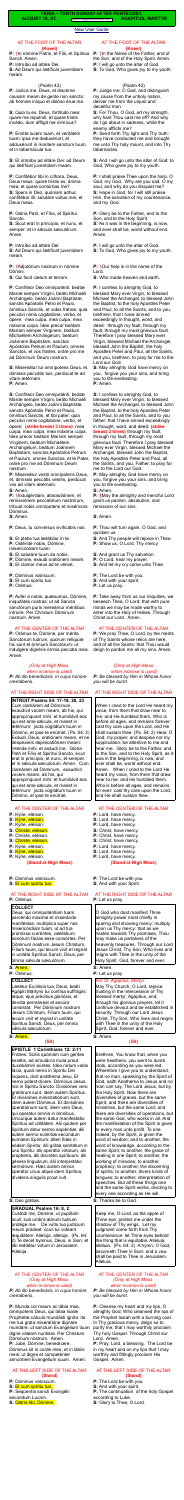#### [New User Guide](http://www.extraordinaryform.org/masses/NewUserGuide.pdf)

**FERIA – TENTH SUNDAY AFTER PENTECOST,**

**AUGUST 18, ST.** Errors? [help@extraordinaryform.org](mailto:help@extraordinaryform.org) **AGAPITUS, MARTYR** 

### AT THE FOOT OF THE ALTAR **(Kneel)**

**P:** †In nómine Patris, et Fílii, et Spíritus Sancti. Amen.

**P:** Introíbo ad altáre Dei.

**S:** Ad Deum qui lætíficat juventútem meam.

#### (Psalm 42)

**P:** Júdica me, Deus, et discérne causam meam de gente non sancta: ab hómine iníquo et dolóso érue me.

**S:** Quia tu es, Deus, fortitúdo mea: quare me repulísti, et quare tristis incédo, dum afflígit me inimícus?

**P:** Emítte lucem tuam, et veritátem tuam: ipsa me deduxérunt, et adduxérunt in montem sanctum tuum, et in tabernácula tua.

**S:** Et introíbo ad altáre Dei: ad Deum qui lætíficat juventútem meam.

**P:** Confitébor tibi in cíthara, Deus, Deus meus: quare tristis es, ánima mea, et quare contúrbas me? **S:** Spera in Deo, quóniam adhuc confitébor illi: salutáre vultus mei, et Deus meus.

**P:** Glória Patri, et Fílio, et Spirítui Sancto.

**S:** Sicut erat in princípio, et nunc, et semper: et in sæcula sæculórum. Amen.

**P:** Introíbo ad altáre Dei.

**S:** Ad Deum qui lætíficat juventútem meam.

**P:** †Adjutórium nostrum in nómine Dómini.

**S:** Qui fecit cælum et terram.

**P:** Confíteor Deo omnipoténti, beátæ Maríæ semper Vírgini, beáto Michaéli Archángelo, beáto Joánni Baptístæ, sanctis Apóstolis Petro et Paulo, ómnibus Sanctis, et vobis fratres: quia peccávi nimis cogitatióne, verbo, et ópere: mea culpa, mea culpa, mea máxima culpa. Ídeo precor beátam Maríam semper Vírginem, beátum Michaélem Archángelum, beátum Joánnem Baptístam, sanctos Apóstolos Petrum et Paulum, omnes Sanctos, et vos fratres, oráre pro me ad Dóminum Deum nostrum.

**P:** Aufer a nobis, quésumus, Dómine, iniquitátes nostras: ut ad Sancta sanctórum puris mereámur méntibus introíre. Per Christum Dóminum nostrum. Amen.

**S:** Misereátur tui omnípotens Deus, et, dimíssis peccátis tuis, perdúcat te ad

vitam ætérnam. **P:** Amen.

**S:** Confíteor Deo omnipoténti, beátæ Maríæ semper Vírgini, beáto Michaéli Archángelo, beáto Joánni Baptistæ, sanctis Apóstolis Petro et Paulo, ómnibus Sanctis, et tibi pater: quia peccávi nimis cogitatióne, verbo, et ópere: **(strike breast 3 times)** mea culpa, mea culpa, mea máxima culpa. Ídeo precor beátam Maríam semper Vírginem, beátum Michaélem Archángelum, beátum Joánnem Baptístam, sanctos Apóstolos Petrum et Paulum, omnes Sanctos, et te Pater, oráre pro me ad Dóminum Deum nostrum.

Deus, qui omnipoténtiam tuam parcéndo máxime et miserándo maniféstas: multíplica super nos misericórdiam tuam; ut ad tua promíssa curréntes, cæléstium bonórum fácias esse consórtes. Per Dóminum nostrum Jesum Christum, Fílium tuum, qui tecum vivit et regnat in unitáte Spíritus Sancti, Deus, per ómnia sæcula sæculórum.

Lætétur Ecclésia tua, Deus, beáti Agápiti Mártyris tui confísa suffrágiis: atque, ejus précibus gloriósis, et devóta permáneat et secúra consístat. Per Dóminum nostrum Jesum Christum, Fílium tuum, qui tecum vivit et regnat in unitáte Spíritus Sancti, Deus, per ómnia sécula sæculórum.

**P:** Misereátur vestri omnípotens Deus, et, dimíssis peccátis vestris, perdúcat vos ad vitam ætérnam.

**S:** Amen.

**P:** †Indulgéntiam, absolutiónem, et remissiónem peccatórum nostrórum, tríbuat nobis omnípotens et miséricors Dóminus.

**S:** Amen.

**P:** Deus, tu convérsus vivificábis nos.

- **S:** Et plebs tua lætábitur in te.
- **P:** Osténde nobis, Dómine,

misericórdiam tuam.

- **S:** Et salutáre tuum da nobis.
- **P:** Dómine, exáudi oratiónem meam.
- **S:** Et clamor meus ad te véniat.

**P:** Dóminus vobíscum.

- **S:** Et cum spíritu tuo.
- **P:** Orémus.

# AT THE CENTER OF THE ALTAR

**P:** Orámus te, Dómine, per mérita Sanctórum tuórum, quorum relíquiæ hic sunt et ómnium Sanctórum: ut indulgére dignéris ómnia peccáta mea. Amen.

*(Only at High Mass* 

*when incense is used) P: Ab illo benedicáris, in cujus honóre cremáberis.*

# AT THE RIGHT SIDE OF THE ALTAR

**P:**  $\dagger$ In the Name of the Father, and of the Son, and of the Holy Spirit. Amen. **P:** I will go unto the altar of God. **S:** To God, Who gives joy to my youth.

**INTROIT Psalms 54: 17-18, 20, 23** Cum clamárem ad Dóminum, exaudívit vocem meam, ab his, qui appropínquant mihi: et humiliávit eos qui est ante sǽcula, et manet in ætérnum: jacta cogitátum tuum in Dómino, et ipse te enútriet. (Ps. 54: 2) Exáudi, Deus, oratiónem meam, et ne despéxeris deprecatiónem meam: inténde mihi, et exáudi me. Glória Patri et Fílio et Spirítui Sancto, sicut erat in princípio, et nunc, et semper, et in sǽcula sæculórum. Amen. Cum clamárem ad Dóminum, exaudívit vocem meam, ab his, qui appropínquant mihi: et humiliávit eos qui est ante sǽcula, et manet in ætérnum: jacta cogitátum tuum in Dómino, et ipse te enútriet.

# AT THE CENTER OF THE ALTAR

- **P:** Kýrie, eléison.
- **S:** Kýrie, eléison.
- **P:** Kýrie, eléison.
- **S:** Christe, eléison.
- **P:** Christe, eléison.
- **S:** Christe, eléison.
- **P:** Kýrie, eléison. **S:** Kýrie, eléison.
- **P:** Kýrie, eléison.
	- **(Stand at High Mass)**
- **P:** Dóminus vobíscum.
- **S:** Et cum spíritu tuo.

# AT THE RIGHT SIDE OF THE ALTAR

**P:** Orémus.

# **COLLECT**

#### **S:** Amen.

**P:** Orémus.

# **COLLECT**

#### **S:** Amen.

# **(Sit)**

**EPISTLE 1 Corinthians 12: 2-11**  Fratres: Scitis quóniam cum gentes essétis, ad simulácra muta prout ducebámini eúntes. Ideo notum vobis fácio, quod nemo in Spíritu Dei loquens, dicit anáthema Jesu, Et nemo potest dícere, Dóminus Jesus, nisi in Spíritu Sancto. Divisiónes vero gratiárum sunt, idem autem Spíritus. Et divisiónes ministratiónum sunt, idem autem Dóminus. Et divisiónes operatiónum sunt, idem vero Deus, qui operátur ómnia in ómnibus, Unicuíque autem datur manifestátio Spíritus ad utilitátem. Alii quidem per Spíritum datur sermo sapiéntiæ: álii autem sermo sciéntiæ secúndum eumdem Spíritum: álteri fides in eódem Spíritu: álii grátia sanitátum in uno Spíritu: álii operátio virtútum, alii prophetía, álii discrétio spírituum, álii génera linguárum, álii ínterpretátio sermónum. Hæc autem ómnia operátor unus atque idem Spíritus, dívidens síngulis prout vult.

**S:** Deo grátias.

# **GRADUAL Psalms 16: 8, 2**

Custódi me, Dómine, ut pupíllam óculi: sub umbra alárum tuárum protége me. De vulto tuo judícium meum pródeat: óculi tui vídeant æquitátem. Allelúja, allelúja. (Ps. 64: 2) Te decet hymnus, Deus, in Sion: et tibi reddétur votum in Jerúsalem. Allelúja.

#### AT THE CENTER OF THE ALTAR *(Only at High Mass when incense is used) P: Ab illo benedicáris, in cujus honóre cremáberis.*

**P:** Munda cor meum ac lábia mea, omnípotens Deus, qui lábia Isaíæ Prophétæ cálculo mundásti igníto: ita me tua grata miseratióne dignáre mundáre, ut sanctum Evangélium tuum digne váleam nuntiáre. Per Christum Dóminum nostrum. Amen. **P:** Jube, Dómine, benedícere. Dóminus sit in corde meo, et in lábiis meis: ut digne et competénter

annúntiem Evangélium suum. Amen.

# AT THE LEFT SIDE OF THE ALTAR **(Stand)**

- **P:** Dóminus vobíscum.
- **S:** Et cum spíritu tuo.

**P:** Seqúentia sancti Evangélii secúndum Lucam. **S:** Glória tibi, Dómine.

# AT THE FOOT OF THE ALTAR **(Kneel)**

### (Psalm 42)

**P:** Judge me, O God, and distinguish my cause from the unholy nation, deliver me from the unjust and deceitful man.

**S:** For Thou, O God, art my strength, why hast Thou cast me off? And why do I go about in sadness, while the enemy afflicts me?

**P:** Send forth Thy light and Thy truth: they have conducted me and brought me unto Thy holy mount, and into Thy tabernacles.

**S:** And I will go unto the altar of God: to God, Who gives joy to my youth.

**P:** I shall praise Thee upon the harp, O God, my God. Why are you sad, O my soul, and why do you disquiet me? **S:** Hope in God, for I will still praise Him, the salvation of my countenance, and my God.

**P:** Glory be to the Father, and to the Son, and to the Holy Spirit. **S:** As it was in the beginning, is now, and ever shall be, world without end. Amen.

**P:** I will go unto the altar of God. **S:** To God, Who gives joy to my youth.

**P:** †Our help is in the name of the Lord.

**S:** Who made heaven and earth.

**P:** I confess to almighty God, to blessed Mary ever Virgin, to blessed Michael the Archangel, to blessed John the Baptist, to the holy Apostles Peter and Paul, to all the Saints, and to you, brethren, that I have sinned exceedingly in thought, word, and deed: through my fault, through my fault, through my most grievous fault. Therefore I pray blessed Mary ever Virgin, blessed Michael the Archangel, blessed John the Baptist, the holy Apostles Peter and Paul, all the Saints, and you, brethren, to pray for me to the Lord our God.

**S:** May almighty God have mercy on you, forgive you your sins, and bring you to life everlasting. **P:** Amen.

**S:** I confess to almighty God, to blessed Mary ever Virgin, to blessed Michael the Archangel, to blessed John the Baptist, to the holy Apostles Peter and Paul, to all the Saints, and to you father: that I have sinned exceedingly in thought, word, and deed: **(strike breast 3 times)** through my fault, through my fault, through my most grievous fault. Therefore I pray blessed Mary ever Virgin, blessed Michael the Archangel, blessed John the Baptist, the holy Apostles Peter and Paul, all the Saints, and you, Father, to pray for me to the Lord our God.

**P:** May almighty God have mercy on you, forgive you your sins, and bring you to life everlasting. **S:** Amen.

**P: †**May the almighty and merciful Lord grant us pardon, absolution, and remission of our sins.

**S:** Amen.

**P:** Thou wilt turn again, O God, and quicken us.

- **S:** And Thy people will rejoice in Thee.
- **P:** Show us, O Lord, Thy mercy.
- **S:** And grant us Thy salvation.
- **P:** O Lord, hear my prayer.
- **S:** And let my cry come unto Thee.
- **P:** The Lord be with you.
- **S:** And with your spirit.
- **P:** Let us pray.

**P:** Take away from us our iniquities, we beseech Thee, O Lord; that with pure minds we may be made worthy to enter into the Holy of Holies. Through Christ our Lord. Amen.

# AT THE CENTER OF THE ALTAR

**P:** We pray Thee, O Lord, by the merits of Thy Saints whose relics are here, and of all the Saints: that Thou would deign to pardon me all my sins. Amen.

# *(Only at High Mass*

 *when incense is used)*

*P: Be blessed by Him in Whose honor you will be burnt.*

# AT THE RIGHT SIDE OF THE ALTAR

When I cried to the Lord He heard my voice, from them that draw near to me: and He humbled them, Who is before all ages, and remains forever: cast thy care upon the Lord, and He shall sustain thee. (Ps. 54: 2) Hear, O God, my prayer, and despise not my supplication; be attentive to me and hear me. Glory be to the Father, and to the Son, and to the Holy Spirit, as it was in the beginning, is now, and ever shall be, world without end. Amen. When I cried to the Lord He heard my voice, from them that draw near to me: and He humbled them, Who is before all ages, and remains for ever: cast thy care upon the Lord, and He shall sustain thee.

### AT THE CENTER OF THE ALTAR

- **P:** Lord, have mercy.
- **S:** Lord, have mercy.
- **P:** Lord, have mercy.
- **S:** Christ, have mercy.
- **P:** Christ, have mercy.
- **S:** Christ, have mercy.
- **P:** Lord, have mercy.
- **S:** Lord, have mercy. **P:** Lord, have mercy.

# **(Stand at High Mass)**

**P:** The Lord be with you. **S:** And with your Spirit.

# AT THE RIGHT SIDE OF THE ALTAR

**P:** Let us pray.

O God who dost manifest Thine almighty power most chiefly in sparing and showing mercy: multiply upon us Thy mercy: that as we hasten towards Thy promises, Thou may make us partakers of the heavenly treasures. Through our Lord Jesus Christ, Thy Son, Who lives and reigns with Thee in the unity of the Holy Spirit, God, forever and ever.

# **S:** Amen.

**P:** Let us pray.

# *For St. Agapitus, Martyr*

May Thy Church, O Lord, rejoice, trusting in the intercession of Thy blessed martyr, Agapitus, and, through his glorious prayers, let it continue devout and be established in security. Through our Lord Jesus Christ, Thy Son, Who lives and reigns with Thee in the unity of the Holy Spirit, God, forever and ever.

**S:** Amen.

# **(Sit)**

Brethren, You know that, when you were heathens, you went to dumb idols, according as you were led, Wherefore I give you to understand, that no man, speaking by the Spirit of God, saith Anathema to Jesus and no man can say, The Lord Jesus, but by the Holy Spirit. Now there are diversities of graces, but the same Spirit; and there are diversities of ministries, but the same Lord; and there are diversities of operations, but the same God, who works in all. And the manifestation of the Spirit is given to every man unto profit. To one indeed, by the Spirit, is given the word of wisdom; and to another, the word of knowledge, according to the same Spirit; to another, the grace of healing in one Spirit; to another, the working of miracles; to another, prophecy; to another, the discerning of spirits; to another, divers kinds of tongues; to another, interpretation of speeches. But all these things one and the same Spirit works, dividing to every one according as He will.

**S:** Thanks be to God.

Keep me, O Lord, as the apple of Thine eye: protect me under the shadow of Thy wings. Let my judgment come forth from Thy countenance: let Thine eyes behold the thing that is equitable. Alleluia, alleluia. (Ps. 64: 2) A hymn, O God, becometh Thee in Sion: and a vow shall be paid to Thee in Jerusalem. Alleluia.

#### AT THE CENTER OF THE ALTAR *(Only at High Mass when incense is used) P: Be blessed by Him in Whose honor you will be burnt.*

**P:** Cleanse my heart and my lips, O almighty God, Who cleansed the lips of the Prophet Isaiah with a burning coal. In Thy gracious mercy, deign so to purify me, that I may worthily proclaim Thy holy Gospel. Through Christ our Lord. Amen.

**P:** Pray, Lord, a blessing. The Lord be in my heart and on my lips that I may worthily and fittingly proclaim His Gospel. Amen.

### AT THE LEFT SIDE OF THE ALTAR **(Stand)**

- **P:** The Lord be with you.
- **S:** And with your spirit.

**P:** The continuation of the holy Gospel according to Luke.

**S:** Glory to Thee, O Lord.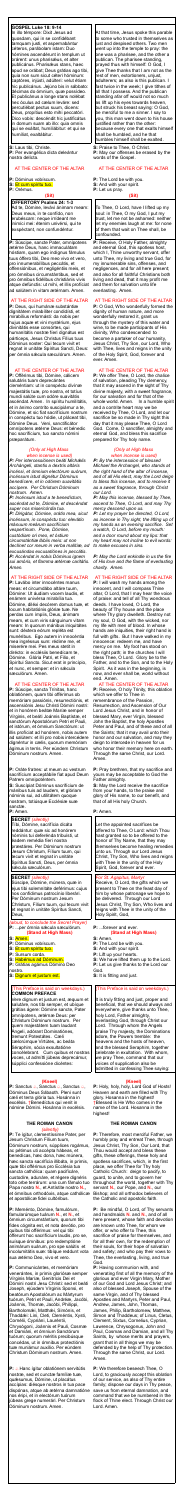#### **GOSPEL Luke 18: 9-14**

In illo témpore: Dixit Jesus ad quosdam, qui in se confidébant tamquam justi, et aspernabántur céteros, parábolam istam: Duo hómines ascendérunt in templum ut orárent: unus pharisǽus, et alter publicánus. Pharisǽus stans, haec apud se orábat; Deus grátias ago tibi, quia non sum sicut céteri hóminum: captóres, injústi, adúlteri: velut étiam hic publicánus. Jejúno bis in sábbato: décimas do ómnium, quæ possídeo. Et publicánus a longe stans nolébat nec óculus ad cælum leváre: sed percutiébat pectus suum, dicens: Deus, propítius esto mihi peccatóri. Dico vobís: descéndit hic justificátus in domum suam ab illo: quia omnis qui se exáltat, humiliábitur: et qui se humíliat, exaltábitur.

**S:** Laus tibi, Christe. **P:** Per evangélica dicta deleántur nostra delícta.

# AT THE CENTER OF THE ALTAR

**P:** Dóminus vobíscum.

**S:** Et cum spíritu tuo.

**P:** Orémus.

# **(Sit)**

# **OFFERTORY Psalms 24: 1-3**

Ad te, Dómine, levávi ánimam meam: Deus meus, in te confído, non erubéscam: neque irrídeant me inimíci mei: étenim univérsi, qui te exspéctant, non confundéntur.

**P:** Súscipe, sancte Pater, omnípotens ætérne Deus, hanc immaculátam hóstiam, quam ego indígnus fámulus tuus óffero tibi, Deo meo vivo et vero, pro innumerabílibus peccátis, et offensiónibus, et negligéntiis meis, et pro ómnibus circumstántibus, sed et pro ómnibus fidélibus christiánis vivis atque defúnctis: ut mihi, et illis profíciat ad salútem in vitam ætérnam. Amen.

#### AT THE RIGHT SIDE OF THE ALTAR

**P:** Deus, qui humánæ substántiæ dignitátem mirabíliter condidísti, et mirabílius reformásti: da nobis per hujus aquæ et vini mystérium, ejus divinitátis esse consórtes, qui humanitátis nostræ fíeri dignátus est párticeps, Jesus Christus Fílius tuus Dóminus noster: Qui tecum vivit et regnat in unitáte Spíritus Sancti, Deus: per ómnia sǽcula sæculórum. Amen.

# AT THE CENTER OF THE ALTAR

**P:** Offérimus tibi, Dómine, cálicem salutáris tuam deprecántes cleméntiam: ut in conspéctu divínæ majestátis tuæ, pro nostra, et totíus mundi salúte cum odóre suavitátis ascéndat. Amen. In spíritu humilitátis, et in ánimo contríto suscipiámur a te, Dómine, et sic fiat sacrifícium nostrum in conspéctu tuo hódie, ut pláceat tibi, Dómine Deus. Veni, sanctificátor omnípotens ætérne Deus: et bénedic hoc sacrifícium, tuo sancto nómini præparátum.

#### *(Only at High Mass when incense is used)*

*P: Per intercessiónem beáti Michǽlis Archángeli, stantis a dextris altáris incénsi, et ómnium electórum suórum, incénsum istud dignétur Dóminus benedícere, et in odórem suavitátis accípere. Per Christum Dóminum nostrum. Amen.*

*P: Incénsum istud a te benedíctum, ascéndat ad te, Dómine, et descéndat super nos misericórdia tua. P: Dirigátur, Dómine, orátio mea, sicut incénsum, in conspéctu tuo: elev*á*tio m*á*nuum me*á*rum sacrifícium vespertínum. Pone, Dómine, custódiam ori meo, et óstium circumstántiæ l*á*biis meis: ut non declínet cor meum in verba malítiæ, ad excusándas excusatiónes in peccátis. P: Accéndat in nobis Dóminus ignem sui amóris, et flamma ætérnæ caritátis. Amen.*

**P:** Sanctus *a*, Sanctus *a*, Sanctus *a*, Dóminus Deus Sábaoth. Pleni sunt cæli et terra glória tua. Hosánna in excélsis. †Benedíctus qui venit in nómine Dómini. Hosánna in excélsis.

# AT THE RIGHT SIDE OF THE ALTAR

**P:** Lavábo inter innocéntes manus meas: et circumdábo altáre tuum, Dómine: Ut áudiam vocem laudis, et enárrem univérsa mirabília tua. Dómine, diléxi decórem domus tuæ, et locum habitatiónis glóriæ tuæ. Ne perdas cum ímpiis, Deus, ánimam meam, et cum viris sánguinum vitam meam: In quorum mánibus iniquitátes sunt: déxtera eórum repléta est munéribus. Ego autem in innocéntia mea ingréssus sum: rédime me, et miserére mei. Pes meus stetit in dirécto: in ecclésiis benedícam te, Dómine. Glória Patri, et Filio, et Spirítui Sancto. Sicut erat in princípio, et nunc, et semper: et in sécula sæculórum. Amen.

#### AT THE CENTER OF THE ALTAR

**P:** A Hanc ígitur oblatiónem servitútis nostræ, sed et cunctæ famíliæ tuæ, quǽsumus, Dómine, ut placátus accípias: diésque nostros in tua pace dispónas, atque ab ætérna damnatióne nos éripi, et in electórum tuórum júbeas grege numerári. Per Christum Dóminum nostrum. Amen.

**P:** Súscipe, sancta Trínitas, hanc oblatiónem, quam tibi offérimus ob memóriam passiónis, resurrectiónis, et ascensiónis Jesu Christi Dómini nostri: et in honórem beátæ Maríæ semper Vírginis, et beáti Joánnis Baptístæ, et sanctórum Apostolórum Petri et Pauli, et istórum, et ómnium Sanctórum: ut illis profíciat ad honórem, nobis autem ad salútem: et illi pro nobis intercédere dignéntur in cælis, quorum memóriam

**P:** Receive, O Holy Father, almighty and eternal God, this spotless host, which I, Thine unworthy servant, offer unto Thee, my living and true God, for my innumerable sins, offenses, and negligences, and for all here present; and also for all faithful Christians both living and dead, that it may profit me and them for salvation unto life everlasting. Amen.

tremunt Potestátes. Cæli cælorúmque Virtútes, ac beáta Séraphim, sócia exsultatióne concélebrant. Cum quibus et nostras voces, ut admítti júbeas deprecámur, súpplici confessióne dicéntes:

# **(Kneel)**

#### **THE ROMAN CANON** *(silently)*

**P:** Te ígitur, clementíssime Pater, per Jesum Christum Fílium tuum, Dóminum nostrum, súpplices rogámus, ac pétimus uti accépta hábeas, et benedícas, hæc dona, hæc múnera, hæc sancta sacrifícia illibáta, in primis, quæ tibi offérimus pro Ecclésia tua sancta cathólica: quam pacificáre, custodíre, adunáre, et régere dignéris toto orbe terrárum: una cum fámulo tuo Papa nostro **N.**, et Antístite nostro **N.,** et ómnibus orthodóxis, atque cathólicæ et apostólicæ fidei cultóribus.

**P:** Meménto, Dómine, famulórum, famularúmque tuárum **N.**, et **N.**, et ómnium circumstántium, quorum tibi fides cógnita est, et nota devótio, pro quibus tibi offérimus: vel qui tibi ófferunt hoc sacrifícium laudis, pro se, suísque ómnibus: pro redemptióne animárum suárum, pro spe salútis et incolumitátis suæ: tibíque reddunt vota sua ætérno Deo, vivo et vero.

**P:** Communicántes, et memóriam venerántes, in primis gloriósæ semper Vírginis Maríæ, Genitrícis Dei et Dómini nostri Jesu Christi: sed et beáti Joseph, ejúsdem Vírginis Sponsi, et beatórum Apostolórum ac Mártyrum tuórum, Petri et Pauli, Andréæ, Jacóbi, Joánnis, Thomæ, Jacóbi, Philíppi, Bartholomǽi, Matthǽi, Simónis, et Thaddǽi: Lini, Cleti, Cleméntis, Xysti, Cornélii, Cypriáni, Lauréntii, Chrysógoni, Joánnis et Pauli, Cosmæ et Damiáni, et ómnium Sanctórum tuórum; quorum méritis precibúsque concédas, ut in ómnibus protectiónis tuæ muniámur auxílio. Per eúndem Christum Dóminum nostrum. Amen.

At that time, Jesus spoke this parable to some who trusted in themselves as just and despised others. Two men went up into the temple to pray: the one was a pharisee, and the other a publican. The pharisee standing, prayed thus with himself: O God, I give Thee thanks that I am not as the rest of men, extortioners, unjust, adulterers; as also is this publican. I fast twice in the week; I give tithes of all that I possess. And the publican standing afar off would not so much as lift up his eyes towards heaven, but struck his breast saying: O God, be merciful to me a sinner. I say to you, this man went down to his house justified rather than the other: because every one that exalts himself shall be humbled, and he that humbles himself shall be exalted.

**S:** Praise to Thee, O Christ. **P:** May our offenses be erased by the words of the Gospel.

### AT THE CENTER OF THE ALTAR

**P:** The Lord be with you. **S:** And with your spirit. **P:** Let us pray.

#### **(Sit)**

To Thee, O Lord, have I lifted up my soul: in Thee, O my God, I put my trust, let me not be ashamed: neither let my enemies laugh at me: for none of them that wait on Thee shall, be confounded.

| dignéntur in cælis, quorum memóriam<br>ágimus in terris. Per eúndem Christum<br>Dóminum nostrum. Amen.                                                                                                                                                                                                                                           | deign to intercede in heaven for us<br>who honor their memory here on earth.<br>Through the same Christ, our Lord.<br>Amen.                                                                                                                                                                                                                    |
|--------------------------------------------------------------------------------------------------------------------------------------------------------------------------------------------------------------------------------------------------------------------------------------------------------------------------------------------------|------------------------------------------------------------------------------------------------------------------------------------------------------------------------------------------------------------------------------------------------------------------------------------------------------------------------------------------------|
| <b>P:</b> Oráte fratres: ut meum ac vestrum<br>sacrifícium acceptábile fiat apud Deum<br>Patrem omnipoténtem.<br>S: Suscípiat Dóminus sacrifícium de<br>mánibus tuis ad laudem, et glóriam<br>nóminis sui, ad utilitátem quoque<br>nostram, totiúsque Ecclésiæ suæ<br>sanctæ.                                                                    | <b>P:</b> Pray brethren, that my sacrifice and<br>yours may be acceptable to God the<br>Father almighty.<br>S: May the Lord receive the sacrifice<br>from your hands, to the praise and<br>glory of His name, to our benefit, and<br>that of all His holy Church.                                                                              |
| P: Amen.                                                                                                                                                                                                                                                                                                                                         | <b>P</b> : Amen.                                                                                                                                                                                                                                                                                                                               |
| <b>SECRET</b> (silently)<br>Tíbi, Dómine, sacrifícia dicáta<br>reddántur: quæ sic ad honórem<br>nóminis tui deferénda tribuísti, ut<br>éadem remédia fíeri nostra<br>præstáres. Per Dóminum nostrum<br>Jesum Christum, Fílium tuum, qui<br>tecum vivit et regnat in unitate<br>Spíritus Sancti, Deus, per ómnia<br>sæcula sæculórum.             | Let the appointed sacrifices be<br>offered to Thee, O Lord: which Thou<br>hast granted so to be offered to the<br>honor of Thy Name, that they may<br>themselves become healing remedies<br>unto us. Through our Lord Jesus<br>Christ, Thy Son, Who lives and reigns<br>with Thee in the unity of the Holy<br>Spirit, God, forever and ever.   |
| <b>SECRET</b> (silently)<br>Súscipe, Dómine, múnera, quæ in<br>ejus tibi solemnitáte deférimus: cujus<br>nos confídimus patrocínio liberári.<br>Per Dóminum nostrum Jesum<br>Christum, Fílium tuum, qui tecum vivit<br>et regnat in unitáte Spíritus Sancti,<br>Deus,                                                                            | For St. Agapitus, Martyr<br>Receive, O Lord, the gifts which we<br>present to Thee on the feast day of<br>him by whose patronage we hope to<br>be delivered. Through our Lord<br>Jesus Christ, Thy Son, Who lives and<br>reigns with Thee in the unity of the<br>Holy Spirit, God,                                                             |
| (aloud, to conclude the Secret Prayer)<br>P:  per ómnia sæcula sæculórum.<br><b>(Stand at High Mass)</b>                                                                                                                                                                                                                                         | <b>P:</b> forever and ever.<br><b>(Stand at High Mass)</b>                                                                                                                                                                                                                                                                                     |
| S: Amen.<br>P: Dóminus vobíscum.<br>S: <mark>Et cum spíritu tuo.</mark><br><b>P:</b> Sursum corda.<br>S: Habémus ad Dóminum.<br>P: Grátias agámus Dómino Deo<br>nostro.<br>S: Dignum et justum est.                                                                                                                                              | S: Amen.<br><b>P:</b> The Lord be with you.<br>S: And with your spirit.<br>P: Lift up your hearts.<br>S: We have lifted them up to the Lord.<br><b>P:</b> Let us give thanks to the Lord our<br>God.<br><b>S:</b> It is fitting and just.                                                                                                      |
| (This Preface is said on weekdays.)<br><b>COMMON PREFACE</b><br>Vere dignum et justum est, æquum et<br>salutáre, nos tibi semper, et ubíque<br>grátias ágere: Dómine sancte, Pater<br>omnípotens, ætérnæ Deus: per<br>Christum Dóminum nostrum. Per<br>quem majestátem tuam laudant<br>Angeli, adórant Dominatiónes,<br>tremunt Potestátes. Cæli | (This Preface is said on weekdays.)<br>It is truly fitting and just, proper and<br>beneficial, that we should always and<br>everywhere, give thanks unto Thee,<br>holy Lord, Father almighty,<br>everlasting God, through Christ our<br>Lord. Through whom the Angels<br>praise Thy majesty, the Dominations<br>adore, the Powers tremble: the |

#### AT THE RIGHT SIDE OF THE ALTAR

**P:** O God, Who wonderfully formed the dignity of human nature, and more wonderfully restored it, grant us through the mystery of this water and wine, to be made participants of His divinity, Who condescended to become a partaker of our humanity, Jesus Christ, Thy Son, our Lord, Who with Thee, lives and reigns in the unity of the Holy Spirit, God, forever and ever. Amen.

AT THE CENTER OF THE ALTAR **P:** We offer Thee, O Lord, the chalice of salvation, pleading Thy clemency, that it may ascend in the sight of Thy divine majesty, with a sweet fragrance, for our salvation and for that of the whole world. Amen. In a humble spirit and a contrite heart may we be received by Thee, O Lord, and let our sacrifice be so made in Thy sight this day that it may please Thee, O Lord God. Come, O sanctifier, almighty and eternal God, and bless this sacrifice prepared for Thy holy name.

#### *(Only at High Mass when incense is used)*

*P: By the intercession of blessed Michael the Archangel, who stands at the right hand of the altar of incense, and of all His elect, may the Lord deign to bless this incense, and to receive it as a sweet fragrance, through Christ our Lord.*

*P: May this incense, blessed by Thee, ascend to Thee, O Lord, and may Thy mercy descend upon us.*

*P: Let my prayer be directed, O Lord, as incense in Thy sight, the lifting up of my hands as an evening sacrifice. Set a watch, O Lord, before my mouth: and a door round about my lips: that my heart may not incline to evil words: to make excuses in sins.*

*P: May the Lord enkindle in us the fire of His love and the flame of everlasting charity. Amen.*

#### AT THE RIGHT SIDE OF THE ALTAR

**P:** I will wash my hands among the innocent, and I will compass Thine altar, O Lord, that I may hear the voice of praise: and tell of all Thy wondrous deeds. I have loved, O Lord, the beauty of Thy house and the place where Thy glory dwelleth. Destroy not my soul, O God, with the wicked, nor my life with men of blood. In whose hands are iniquities, their right hand is full with gifts. But I have walked in my innocence: redeem me, and have mercy on me. My foot has stood on the right path; in the churches I will bless Thee, O Lord. Glory be to the Father, and to the Son, and to the Holy Spirit. As it was in the beginning, is now, and ever shall be, world without end. Amen.

AT THE CENTER OF THE ALTAR **P:** Receive, O holy Trinity, this oblation which we offer to Thee in remembrance of the Passion, Resurrection, and Ascension of Our Lord Jesus Christ, and in honor of blessed Mary, ever Virgin, blessed John the Baptist, the holy Apostles Peter and Paul, and of these and of all the Saints; that it may avail unto their honor and our salvation, and may they deign to intercede in heaven for us who honor their memory here on earth.

heavens and the hosts of heaven,

and the blessed Seraphim, together

celebrate in exultation. With whom,

we pray Thee, command that our

voices of supplication also be

admitted in confessing Thee saying:

# **(Kneel)**

**P:** Holy, holy, holy, Lord God of Hosts! Heaven and earth are filled with Thy glory. Hosanna in the highest! †Blessed is He Who comes in the name of the Lord. Hosanna in the highest!

#### **THE ROMAN CANON**

**P:** Therefore, most merciful Father, we humbly pray and entreat Thee, through Jesus Christ, Thy Son, Our Lord, that Thou would accept and bless these gifts, these offerings, these holy and spotless sacrifices, which, in the first place, we offer Thee for Thy holy Catholic Church: deign to pacify, to guard, to unite, and to govern her throughout the world, together with Thy servant **N.**, our Pope, and **N.**, our Bishop; and all orthodox believers of the Catholic and apostolic faith.

**P:** Be mindful, O Lord, of Thy servants and handmaids **N.** and **N.**, and of all here present, whose faith and devotion are known unto Thee, for whom we offer, or who offer to Thee, this sacrifice of praise for themselves, and for all their own, for the redemption of their souls, for their hope of salvation and safety; and who pay their vows to Thee, the everlasting, living, and true God.

**P:** Having communion with, and venerating first of all the memory of the glorious and ever Virgin Mary, Mother of our God and Lord Jesus Christ; and also of blessed Joseph, Spouse of the same Virgin, and of Thy blessed Apostles and Martyrs, Peter and Paul, Andrew, James, John, Thomas, James, Philip, Bartholomew, Matthew, Simon and Thaddeus; of Linus, Cletus, Clement, Sixtus, Cornelius, Cyprian, Lawrence, Chrysogonus, John and Paul, Cosmas and Damian, and all Thy Saints, by whose merits and prayers, grant that in all things we may be defended by the help of Thy protection. Through the same Christ, our Lord. Amen.

**P:** We therefore beseech Thee, O Lord, to graciously accept this oblation of our service, as also of Thy entire family; dispose our days in Thy peace, save us from eternal damnation, and command that we be numbered in the flock of Thine elect. Through Christ our Lord. Amen.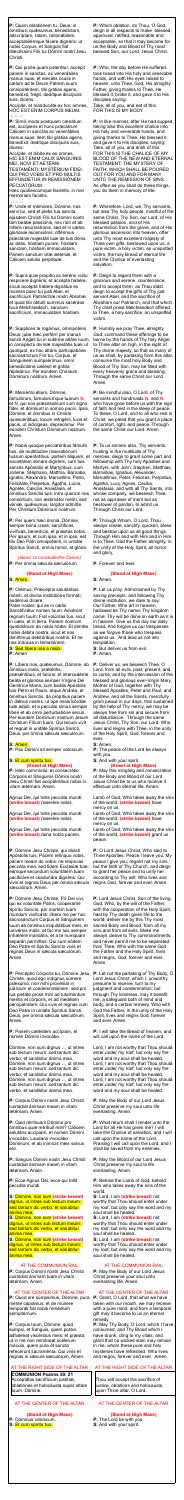**P:** Quam oblatiónem tu, Deus, in ómnibus, quǽsumus, benedíctam, adscríptam, ratam, rationábilem, acceptabilémque fácere dignéris: ut nobis Corpus, et Sanguis fiat dilectíssimi Fílii tui Dómini nostri Jesu Christi.

Accípite, et manducáte ex hoc omnes, HOC EST ENIM CORPUS MEUM.  $\bigoplus \bigoplus \bigoplus$ 

**P:** Qui prídie quam paterétur, accépit panem in sanctas, ac venerábiles manus suas, et elevátis óculis in cælum ad te Deum Patrem suum omnipoténtem, tibi grátias agens, benedíxit, fregit, dedítque discípulis suis, dicens:

**P:** Símili modo postquam cænátum est, accípiens et hunc præclárum Cálicem in sanctas ac venerábiles manus suas: item tibi grátias agens, benedíxit, dedítque discípulis suis, dicens:

Accípite, et bíbite ex eo omnes, HIC EST ENIM CALIX SÁNGUINIS MEI, NOVI ET AETÉRNI

TESTAMÉNTI: MYSTÉRIUM FÍDEI: QUI PRO VOBIS ET PRO MULTIS EFFUNDÉTUR IN REMISSIÓNEM PECCATÓRUM.

Hæc quotiescúmque fecéritis, in mei memóriam faciétis.

#### $A A A$

**P:** Unde et mémores, Dómine, nos servi tui, sed et plebs tua sancta, ejúsdem Christi Fílii tui Dómini nostri tam beátæ passiónis, nec non et ab ínferis resurrectiónis, sed et in cælos gloriósæ ascensiónis: offérimus præcláræ majestáti tuæ de tuis donis, ac datis, hóstiam puram, hóstiam sanctam, hóstiam immaculátam, Panem sanctum vitæ ætérnæ, et Cálicem salútis perpétuæ.

**P:** Supra quæ propítio ac seréno vultu respícere dignéris; et accépta habére, sícuti accépta habére dignátus es múnera púeri tui justi Abel, et sacrifícium Patriárchæ nostri Ábrahæ: et quod tibi óbtulit summus sacérdos tuus Melchísedech, sanctum sacrifícium, immaculátam hóstiam.

*(aloud, to conclude the Canon)* **P:** Per ómnia sæcula sæculórum.

**P:** Líbera nos, quésumus, Dómine, ab ómnibus malis, prætéritis,

præséntibus, et futúris: et intercedénte beáta et gloriósa semper Vírgine Dei Genitríce María, cum beátis Apóstolis tuis Petro et Paulo, atque Andréa, et ómnibus Sanctis, da propítius pacem in diébus nostris: ut ope misericórdiæ tuæ adjúti, et a peccáto simus semper líberi et ab omni perturbatióne secúri. Per eúndem Dominum nostrum Jesum Christum Fílium tuum. Qui tecum vivit et regnat in unitáte Spíritus Sancti, Deus, per ómnia sæcula sæculórum.

**P:** Súpplices te rogámus, omnípotens Deus: jube hæc perférri per manus sancti Ángeli tui in sublíme altáre tuum, in conspéctu divínæ majestátis tuæ: ut quotquot, ex hac altáris participatióne sacrosánctum Fílii tui, Corpus, et Sánguinem sumpsérimus, omni benedictióne cælésti et grátia repleámur. Per eúndem Christum Dóminum nostrum. Amen.

#### **P:** Meménto étiam, Dómine,

famulórum, famularúmque tuarum **N.** et **N.** qui nos præcessérunt cum signo fídei, et dórmiunt in somno pacis. Ipsis, Dómine, et ómnibus in Christo quiescéntibus, locum refrigérii, lucis et pacis, ut indúlgeas, deprecámur. Per eúndem Christum Dóminum nostrum. Amen.

**P:** Nobis quoque peccatóribus fámulis tuis, de multitúdine miseratiónum tuárum sperántibus, partem áliquam, et societátem donáre dignéris, cum tuis sanctis Apóstolis et Martýribus: cum Joánne, Stéphano, Matthía, Bárnaba, Ignátio, Alexándro, Marcellíno, Petro, Felicitáte, Perpétua, Ágatha, Lúcia, Agnéte, Cæcília, Anastásia, et ómnibus Sanctis tuis: intra quorum nos consórtium, non æstimátor mériti, sed véniæ, quæsumus, largítor admítte. Per Christum Dóminum nostrum.

**P:** Per quem hæc ómnia, Dómine, semper bona creas, sanctíficas, vivíficas, benedícis, et præstas nobis. Per ipsum, et cum ipso, et in ipso, est tibi Deo Patri omnipoténti, in unitáte Spíritus Sancti, omnis honor, et glória.

Dómine, non sum dignus  $\triangle$ , ut intres sub tectum meum: sed tantum dic verbo, et sanábitur ánima mea. Dómine, non sum dignus  $\triangle$ , ut intres sub tectum meum: sed tantum dic verbo, et sanábitur ánima mea. Dómine, non sum dignus  $\triangle$ , ut intres sub tectum meum: sed tantum dic verbo, et sanábitur ánima mea.

# **(Stand at High Mass)**

**S:** Amen.

**P:** Orémus. Præcéptis salutáribus móniti, et divína institutióne formáti, audémus dícere:

Pater noster, qui es in cælis: Sanctificétur nomen tuum: Advéniat regnum tuum: Fiat volúntas tua, sicut in cælo, et in terra. Panem nostrum quotidiánum da nobis hódie: Et dimítte nobis débita nostra, sicut et nos dimíttimus debitóribus nostris. Et ne nos indúcas in tentatiónem: **S:** Sed líbera nos a malo.

**P:** Amen

#### **S:** Amen.

**P:** Pax Dómini sit semper vobíscum.

# **S:** Et cum spíritu tuo. **(Kneel at High Mass)**

**P:** Hæc commíxtio, et consecrátio Córporis et Sánguinis Dómini nostri Jesu Christi fiat accipiéntibus nobis in vitam ætérnam. Amen.

Agnus Dei, qui tollis peccáta mundi: **(strike breast)** miserére nobis.

Agnus Dei, qui tollis peccáta mundi: **(strike breast)** miserére nobis.

Agnus Dei, qui tollis peccáta mundi: **(strike breast)** dona nobis pacem.

**P:** Dómine Jesu Christe, qui dixísti Apóstolis tuis: Pacem relínquo vobis, pacem meam do vobis: ne respícias peccáta mea, sed fidem Ecclésiæ tuæ: eámque secúndum voluntátem tuam pacificáre et coadunáre dignéris: Qui vivis et regnas Deus per ómnia sæcula sæculórum. Amen.

**P:** Dómine Jesu Christe, Fili Dei vivi, qui ex voluntáte Patris, cooperánte Spíritu Sancto, per mortem tuam mundum vivificásti: líbera me per hoc sacrosánctum Corpus et Sánguinem tuum ab ómnibus iniquitátibus meis, et univérsis malis: et fac me tuis semper inhærére mandátis, et a te numquam separári permíttas: Qui cum eódem Deo Patre et Spiritu Sancto vivis et regnas Deus in sǽcula sæculórum. Amen.

**P:** Percéptio Córporis tui, Dómine Jesu Christe, quod ego indígnus súmere præsúmo, non mihi provéniat in judícium et condemnatiónem: sed pro tua pietáte prosit mihi ad tutaméntum mentis et córporis, et ad medélam percipiéndam: Qui vivis et regnas cum Deo Patre in unitáte Spíritus Sancti, Deus, per ómnia sæcula sæculórum. Amen.

**P:** Panem cæléstem accípiam, et nomen Dómini invocábo.

**P:** Corpus Dómini nostri Jesu Christi custódiat ánimam meam in vitam ætérnam. Amen.

**P:** Quid retríbuam Dómino pro ómnibus quæ retríbuit mihi? Cálicem salutáris accípiam, et nomen Dómini invocábo. Laudans invocábo Dóminum, et ab inimícis meis salvus ero.

**P:** Sanguis Dómini nostri Jesu Christi custódiat ánimam meam in vitam ætérnam. Amen.

**P:** Ecce Agnus Dei, ecce qui tollit peccáta mundi.

**S:** Dómine, non sum **(strike breast)** dignus, ut intres sub tectum meum: sed tantum dic verbo, et sanábitur ánima mea.

**S:** Dómine, non sum **(strike breast)**  dignus, ut intres sub tectum meum: sed tantum dic verbo, et sanábitur ánima mea.

**S:** Dómine, non sum **(strike breast)**  dignus, ut intres sub tectum meum: sed tantum dic verbo, et sanábitur ánima mea.

#### AT THE COMMUNION RAIL

**P:** Corpus Dómini nostri Jesu Christi custódiat ánimam tuam in vitam ætérnam. Amen.

### AT THE CENTER OF THE ALTAR

**P:** Quod ore súmpsimus, Dómine, pura mente capiámus: et de múnere temporáli fiat nobis remédium sempitérnum.

**P:** Corpus tuum, Dómine, quod sumpsi, et Sanguis, quem potávi, adhæreat viscéribus meis: et præsta; ut in me non remáneat scélerum mácula, quem pura et sancta refecérunt sacraménta: Qui vivis et regnas in sǽcula sæculórum, Amen.

# AT THE RIGHT SIDE OF THE ALTAR

**COMMUNION Psalms 50: 21**  Acceptábis sacrifícium justítiæ, oblatiónes et holocáusta super altáre tuum, Dómine.

# AT THE CENTER OF THE ALTAR

**(Stand at High Mass) P:** Dóminus vobíscum. **S:** Et cum spíritu tuo.

**P:** Which oblation, do Thou, O God, deign in all respects to make blessed, approved, ratified, reasonable and acceptable, so that it may become for us the Body and Blood of Thy most beloved Son, our Lord, Jesus Christ.

**P:** Who, the day before He suffered, took bread into His holy and venerable hands, and with His eyes raised to heaven, unto Thee, God, His almighty Father, giving thanks to Thee, He blessed it, broke it, and gave it to His disciples saying: Take, all of you, and eat of this:

FOR THIS IS MY BODY.

**P:** In like manner, after He had supped, taking also this excellent chalice into His holy and venerable hands, and giving thanks to Thee, He blessed it, and gave it to His disciples, saying: Take, all of you, and drink of this: FOR THIS IS THE CHALICE OF MY BLOOD OF THE NEW AND ETERNAL TESTAMENT: THE MYSTERY OF FAITH: WHICH SHALL BE POURED OUT FOR YOU AND FOR MANY UNTO THE REMISSION OF SINS. As often as you shall do these things, you do them in memory of Me.

**P:** Wherefore, Lord, we, Thy servants, but also Thy holy people, mindful of the same Christ, Thy Son, our Lord, of His blessed passion, and of His resurrection from the grave, and of His glorious ascension into heaven, offer unto Thy most excellent majesty of Thine own gifts, bestowed upon us, a pure victim, a holy victim, an unspotted victim, the holy Bread of eternal life and the Chalice of everlasting salvation.

**P:** Deign to regard them with a gracious and serene countenance, and to accept them, as Thou didst deign to accept the gifts of Thy just servant Abel, and the sacrifice of Abraham our Patriarch, and that which Thy chief priest Melchisedech offered to Thee, a holy sacrifice, an unspotted victim.

**P:** Humbly we pray Thee, almighty God, command these offerings to be borne by the hands of Thy holy Angel to Thine altar on high, in the sight of Thy divine majesty, so that as many of us as shall, by partaking from this altar, consume the most holy Body and Blood of Thy Son, may be filled with every heavenly grace and blessing. Through the same Christ our Lord. Amen.

**P:** Be mindful also, O Lord, of Thy servants and handmaids **N.** and **N.** who have gone before us with the sign of faith and rest in the sleep of peace. To these, O Lord, and to all who rest in Christ, we plead that you grant a place of comfort, light, and peace. Through the same Christ our Lord. Amen.

**P:** To us sinners also, Thy servants, trusting in the multitude of Thy mercies, deign to grant some part and fellowship with Thy holy Apostles and Martyrs, with John, Stephen, Matthias, Barnabas, Ignatius, Alexander, Marcellinus, Peter, Felicitas, Perpetua, Agatha, Lucy, Agnes, Cecilia, Anastasia, and with all Thy Saints, into whose company, we beseech Thee, not as appraiser of merit but as bestower of pardon, to admit us. Through Christ our Lord.

**P:** Through Whom, O Lord, Thou always create, sanctify, quicken, bless and bestow upon us all good things. Through Him and with Him and in Him is to Thee, God the Father almighty, in the unity of the Holy Spirit, all honor and glory,

**P:** Forever and ever.

#### **(Stand at High Mass)**

**S:** Amen.

**P:** Let us pray: Admonished by Thy saving precepts, and following Thy divine institution, we dare to say: Our Father, Who art in heaven, hallowed be Thy name; Thy kingdom come; Thy will be done on earth as it is in heaven. Give us this day our daily bread. And forgive us our trespasses as we forgive those who trespass against us. And lead us not into temptation.

**S:** But deliver us from evil. **P:** Amen.

**P:** Deliver us, we beseech Thee, O Lord, from all evils, past, present, and to come; and by the intercession of the blessed and glorious ever-Virgin Mary, Mother of God, together with Thy blessed Apostles, Peter and Paul, and Andrew, and all the Saints, mercifully grant peace in our days, that sustained by the help of Thy mercy, we may be always free from sin and secure from all disturbance. Through the same Jesus Christ, Thy Son, our Lord, Who lives and reigns with Thee, in the unity of the Holy Spirit, God, forever and ever.

**S:** Amen.

**P:** The peace of the Lord be always with you. **S:** And with your spirit.

# **(Kneel at High Mass)**

**P:** May this mingling and consecration of the Body and Blood of our Lord Jesus Christ be to us who receive it effectual unto eternal life. Amen.

Lamb of God, Who takes away the sins of the world, **(strike breast)** have mercy on us.

Lamb of God, Who takes away the sins of the world, **(strike breast)** have mercy on us.

Lamb of God, Who takes away the sins of the world, **(strike breast)** grant us peace.

**P:** O Lord Jesus Christ, Who said to Thine Apostles: Peace I leave you, My peace I give you; regard not my sins, but the faith of Thy Church, and deign to grant her peace and to unify her according to Thy will: Who lives and reigns God, forever and ever. Amen.

**P:** Lord Jesus Christ, Son of the living God, Who, by the will of the Father, with the cooperation of the Holy Spirit, hast by Thy death given life to the world; deliver me by this Thy most sacred Body and Blood, from all my sins and from all evils. Make me always cleave to Thy commandments, and never permit me to be separated from Thee, Who with the same God the Father and the Holy Spirit, lives and reigns, God, forever and ever. Amen.

**P:** Let not the partaking of Thy Body, O Lord Jesus Christ, which I, unworthy, presume to receive, turn to my judgment and condemnation; but through Thy kindness, may it benefit me, a safeguard both of mind and body, and a certain remedy. Who with God the Father, in the unity of the Holy Spirit, lives and reigns God, forever and ever. Amen.

**P:** I will take the Bread of heaven, and will call upon the name of the Lord.

Lord, I am not worthy that Thou should enter under my roof; but only say the word and my soul shall be healed. Lord, I am not worthy that Thou should enter under my roof; but only say the word and my soul shall be healed. Lord, I am not worthy that Thou should enter under my roof; but only say the word and my soul shall be healed.

**P:** May the Body of our Lord Jesus Christ preserve my soul unto life everlasting. Amen.

**P:** What return shall I render unto the

Lord for all He has given me? I will take the Chalice of salvation, and I will call upon the name of the Lord. Praising I will call upon the Lord, and I shall be saved from my enemies.

**P:** May the Blood of our Lord Jesus Christ preserve my soul to life everlasting. Amen.

**P:** Behold the Lamb of God, behold Him who takes away the sins of the world.

**S:** Lord, I am **(strike breast)** not worthy that Thou should enter under my roof; but only say the word and my soul shall be healed.

**S:** Lord, I am **(strike breast)** not worthy that Thou should enter under my roof; but only say the word and my soul shall be healed.

**S:** Lord, I am **(strike breast)** not worthy that Thou should enter under my roof; but only say the word and my soul shall be healed.

# AT THE COMMUNION RAIL

**P:** May the Body of our Lord Jesus Christ preserve your soul unto everlasting life. Amen.

### AT THE CENTER OF THE ALTAR

**P:** Grant, O Lord, that what we have taken with our mouth, we may receive with a pure mind; and from a temporal gift may it become to us an eternal remedy.

**P:** May Thy Body, O Lord, which I have consumed, and Thy Blood which I have drunk, cling to my vitals; and grant that no wicked stain may remain in me, whom these pure and holy mysteries have refreshed. Who lives and reigns, forever and ever. Amen.

#### AT THE RIGHT SIDE OF THE ALTAR

Thou wilt accept the sacrifice of justice, oblations and holocausts, upon Thine altar, O Lord.

# AT THE CENTER OF THE ALTAR

#### **(Stand at High Mass)**

- **P:** The Lord be with you. **S:** And with your spirit.
-